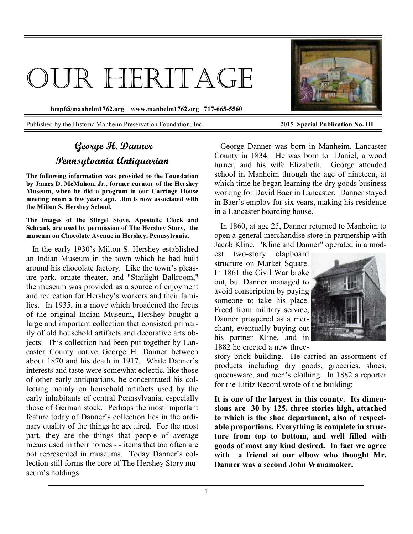# OUR HERITAGE

**hmpf@manheim1762.org www.manheim1762.org 717-665-5560** 

Published by the Historic Manheim Preservation Foundation, Inc. **2015 Special Publication No. III** 

# **George H. Danner Pennsylvania Antiquarian**

**The following information was provided to the Foundation by James D. McMahon, Jr., former curator of the Hershey Museum, when he did a program in our Carriage House meeting room a few years ago. Jim is now associated with the Milton S. Hershey School.** 

**The images of the Stiegel Stove, Apostolic Clock and Schrank are used by permission of The Hershey Story, the museum on Chocolate Avenue in Hershey, Pennsylvania.** 

 In the early 1930's Milton S. Hershey established an Indian Museum in the town which he had built around his chocolate factory. Like the town's pleasure park, ornate theater, and "Starlight Ballroom," the museum was provided as a source of enjoyment and recreation for Hershey's workers and their families.In 1935, in a move which broadened the focus of the original Indian Museum, Hershey bought a large and important collection that consisted primarily of old household artifacts and decorative arts objects. This collection had been put together by Lancaster County native George H. Danner between about 1870 and his death in 1917. While Danner's interests and taste were somewhat eclectic, like those of other early antiquarians, he concentrated his collecting mainly on household artifacts used by the early inhabitants of central Pennsylvania, especially those of German stock. Perhaps the most important feature today of Danner's collection lies in the ordinary quality of the things he acquired. For the most part, they are the things that people of average means used in their homes - - items that too often are not represented in museums. Today Danner's collection still forms the core of The Hershey Story museum's holdings.

 George Danner was born in Manheim, Lancaster County in 1834. He was born to Daniel, a wood turner, and his wife Elizabeth. George attended school in Manheim through the age of nineteen, at which time he began learning the dry goods business working for David Baer in Lancaster. Danner stayed in Baer's employ for six years, making his residence in a Lancaster boarding house.

 In 1860, at age 25, Danner returned to Manheim to open a general merchandise store in partnership with Jacob Kline. "Kline and Danner" operated in a mod-

est two-story clapboard structure on Market Square. In 1861 the Civil War broke out, but Danner managed to avoid conscription by paying someone to take his place. Freed from military service, Danner prospered as a merchant, eventually buying out his partner Kline, and in 1882 he erected a new three-



story brick building. He carried an assortment of products including dry goods, groceries, shoes, queensware, and men's clothing. In 1882 a reporter for the Lititz Record wrote of the building:

**It is one of the largest in this county. Its dimensions are 30 by 125, three stories high, attached to which is the shoe department, also of respectable proportions. Everything is complete in structure from top to bottom, and well filled with goods of most any kind desired. In fact we agree with a friend at our elbow who thought Mr. Danner was a second John Wanamaker.** 

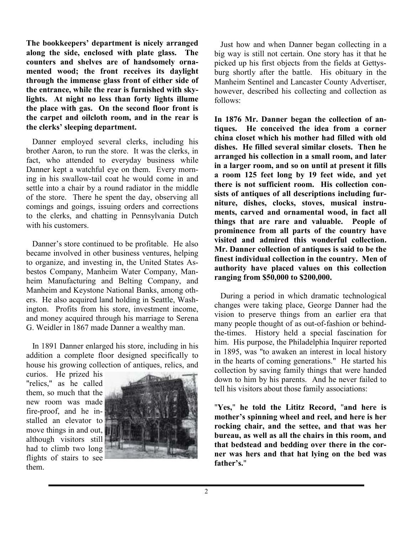**The bookkeepers' department is nicely arranged along the side, enclosed with plate glass. The counters and shelves are of handsomely ornamented wood; the front receives its daylight through the immense glass front of either side of the entrance, while the rear is furnished with skylights. At night no less than forty lights illume the place with gas. On the second floor front is the carpet and oilcloth room, and in the rear is the clerks' sleeping department.** 

 Danner employed several clerks, including his brother Aaron, to run the store. It was the clerks, in fact, who attended to everyday business while Danner kept a watchful eye on them. Every morning in his swallow-tail coat he would come in and settle into a chair by a round radiator in the middle of the store. There he spent the day, observing all comings and goings, issuing orders and corrections to the clerks, and chatting in Pennsylvania Dutch with his customers.

 Danner's store continued to be profitable. He also became involved in other business ventures, helping to organize, and investing in, the United States Asbestos Company, Manheim Water Company, Manheim Manufacturing and Belting Company, and Manheim and Keystone National Banks, among others. He also acquired land holding in Seattle, Washington. Profits from his store, investment income, and money acquired through his marriage to Serena G. Weidler in 1867 made Danner a wealthy man.

 In 1891 Danner enlarged his store, including in his addition a complete floor designed specifically to house his growing collection of antiques, relics, and

curios. He prized his "relics," as he called them, so much that the new room was made fire-proof, and he installed an elevator to move things in and out, although visitors still had to climb two long flights of stairs to see them.



 Just how and when Danner began collecting in a big way is still not certain. One story has it that he picked up his first objects from the fields at Gettysburg shortly after the battle. His obituary in the Manheim Sentinel and Lancaster County Advertiser, however, described his collecting and collection as follows:

**In 1876 Mr. Danner began the collection of antiques. He conceived the idea from a corner china closet which his mother had filled with old dishes. He filled several similar closets. Then he arranged his collection in a small room, and later in a larger room, and so on until at present it fills a room 125 feet long by 19 feet wide, and yet there is not sufficient room. His collection consists of antiques of all descriptions including furniture, dishes, clocks, stoves, musical instruments, carved and ornamental wood, in fact all things that are rare and valuable. People of prominence from all parts of the country have visited and admired this wonderful collection. Mr. Danner collection of antiques is said to be the finest individual collection in the country. Men of authority have placed values on this collection ranging from \$50,000 to \$200,000.** 

 During a period in which dramatic technological changes were taking place, George Danner had the vision to preserve things from an earlier era that many people thought of as out-of-fashion or behindthe-times. History held a special fascination for him. His purpose, the Philadelphia Inquirer reported in 1895, was "to awaken an interest in local history in the hearts of coming generations." He started his collection by saving family things that were handed down to him by his parents. And he never failed to tell his visitors about those family associations:

"**Yes,**" **he told the Lititz Record,** "**and here is mother's spinning wheel and reel, and here is her rocking chair, and the settee, and that was her bureau, as well as all the chairs in this room, and that bedstead and bedding over there in the corner was hers and that hat lying on the bed was father's.**"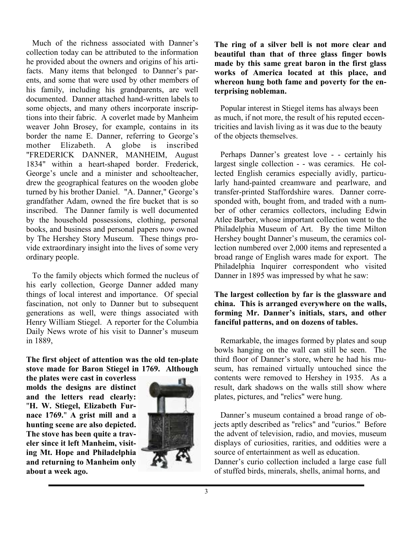Much of the richness associated with Danner's collection today can be attributed to the information he provided about the owners and origins of his artifacts. Many items that belonged to Danner's parents, and some that were used by other members of his family, including his grandparents, are well documented. Danner attached hand-written labels to some objects, and many others incorporate inscriptions into their fabric. A coverlet made by Manheim weaver John Brosey, for example, contains in its border the name E. Danner, referring to George's mother Elizabeth. A globe is inscribed "FREDERICK DANNER, MANHEIM, August 1834" within a heart-shaped border. Frederick, George's uncle and a minister and schoolteacher, drew the geographical features on the wooden globe turned by his brother Daniel. "A. Danner," George's grandfather Adam, owned the fire bucket that is so inscribed. The Danner family is well documented by the household possessions, clothing, personal books, and business and personal papers now owned by The Hershey Story Museum. These things provide extraordinary insight into the lives of some very ordinary people.

 To the family objects which formed the nucleus of his early collection, George Danner added many things of local interest and importance. Of special fascination, not only to Danner but to subsequent generations as well, were things associated with Henry William Stiegel. A reporter for the Columbia Daily News wrote of his visit to Danner's museum in 1889,

### **The first object of attention was the old ten-plate stove made for Baron Stiegel in 1769. Although**

**the plates were cast in coverless molds the designs are distinct and the letters read clearly:**  "**H. W. Stiegel, Elizabeth Furnace 1769.**" **A grist mill and a hunting scene are also depicted. The stove has been quite a traveler since it left Manheim, visiting Mt. Hope and Philadelphia and returning to Manheim only about a week ago.** 



**The ring of a silver bell is not more clear and beautiful than that of three glass finger bowls made by this same great baron in the first glass works of America located at this place, and whereon hung both fame and poverty for the enterprising nobleman.** 

 Popular interest in Stiegel items has always been as much, if not more, the result of his reputed eccentricities and lavish living as it was due to the beauty of the objects themselves.

Perhaps Danner's greatest love - - certainly his largest single collection - - was ceramics. He collected English ceramics especially avidly, particularly hand-painted creamware and pearlware, and transfer-printed Staffordshire wares. Danner corresponded with, bought from, and traded with a number of other ceramics collectors, including Edwin Atlee Barber, whose important collection went to the Philadelphia Museum of Art. By the time Milton Hershey bought Danner's museum, the ceramics collection numbered over 2,000 items and represented a broad range of English wares made for export. The Philadelphia Inquirer correspondent who visited Danner in 1895 was impressed by what he saw:

## **The largest collection by far is the glassware and china. This is arranged everywhere on the walls, forming Mr. Danner's initials, stars, and other fanciful patterns, and on dozens of tables.**

 Remarkable, the images formed by plates and soup bowls hanging on the wall can still be seen. The third floor of Danner's store, where he had his museum, has remained virtually untouched since the contents were removed to Hershey in 1935. As a result, dark shadows on the walls still show where plates, pictures, and "relics" were hung.

 Danner's museum contained a broad range of objects aptly described as "relics" and "curios." Before the advent of television, radio, and movies, museum displays of curiosities, rarities, and oddities were a source of entertainment as well as education. Danner's curio collection included a large case full of stuffed birds, minerals, shells, animal horns, and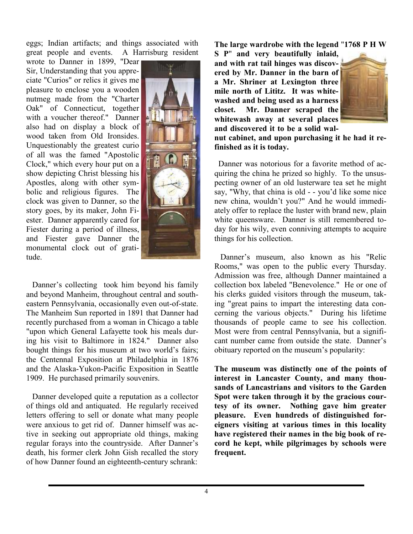eggs; Indian artifacts; and things associated with great people and events. A Harrisburg resident

wrote to Danner in 1899, "Dear Sir, Understanding that you appreciate "Curios" or relics it gives me pleasure to enclose you a wooden nutmeg made from the "Charter Oak" of Connecticut, together with a voucher thereof." Danner also had on display a block of wood taken from Old Ironsides. Unquestionably the greatest curio of all was the famed "Apostolic Clock," which every hour put on a show depicting Christ blessing his Apostles, along with other symbolic and religious figures. The clock was given to Danner, so the story goes, by its maker, John Fiester. Danner apparently cared for Fiester during a period of illness, and Fiester gave Danner the monumental clock out of gratitude.



 Danner's collecting took him beyond his family and beyond Manheim, throughout central and southeastern Pennsylvania, occasionally even out-of-state. The Manheim Sun reported in 1891 that Danner had recently purchased from a woman in Chicago a table "upon which General Lafayette took his meals during his visit to Baltimore in 1824." Danner also bought things for his museum at two world's fairs; the Centennal Exposition at Philadelphia in 1876 and the Alaska-Yukon-Pacific Exposition in Seattle 1909. He purchased primarily souvenirs.

 Danner developed quite a reputation as a collector of things old and antiquated. He regularly received letters offering to sell or donate what many people were anxious to get rid of. Danner himself was active in seeking out appropriate old things, making regular forays into the countryside. After Danner's death, his former clerk John Gish recalled the story of how Danner found an eighteenth-century schrank:

**The large wardrobe with the legend** "**1768 P H W** 

**S P**" **and very beautifully inlaid, and with rat tail hinges was discovered by Mr. Danner in the barn of a Mr. Shriner at Lexington three mile north of Lititz. It was whitewashed and being used as a harness closet. Mr. Danner scraped the whitewash away at several places and discovered it to be a solid wal-**



**nut cabinet, and upon purchasing it he had it refinished as it is today.** 

 Danner was notorious for a favorite method of acquiring the china he prized so highly. To the unsuspecting owner of an old lusterware tea set he might say, "Why, that china is old - - you'd like some nice new china, wouldn't you?" And he would immediately offer to replace the luster with brand new, plain white queensware. Danner is still remembered today for his wily, even conniving attempts to acquire things for his collection.

 Danner's museum, also known as his "Relic Rooms," was open to the public every Thursday. Admission was free, although Danner maintained a collection box labeled "Benevolence." He or one of his clerks guided visitors through the museum, taking "great pains to impart the interesting data concerning the various objects." During his lifetime thousands of people came to see his collection. Most were from central Pennsylvania, but a significant number came from outside the state. Danner's obituary reported on the museum's popularity:

**The museum was distinctly one of the points of interest in Lancaster County, and many thousands of Lancastrians and visitors to the Garden Spot were taken through it by the gracious courtesy of its owner. Nothing gave him greater pleasure. Even hundreds of distinguished foreigners visiting at various times in this locality have registered their names in the big book of record he kept, while pilgrimages by schools were frequent.**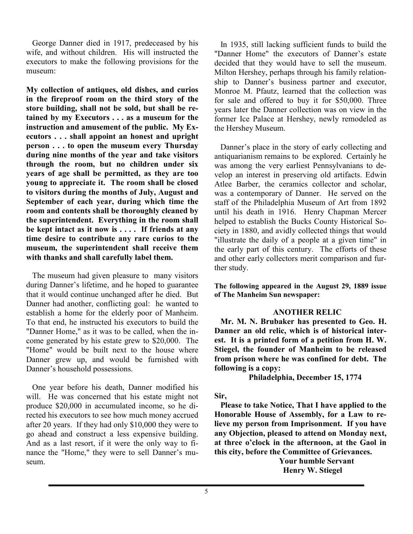George Danner died in 1917, predeceased by his wife, and without children. His will instructed the executors to make the following provisions for the museum:

**My collection of antiques, old dishes, and curios in the fireproof room on the third story of the store building, shall not be sold, but shall be retained by my Executors . . . as a museum for the instruction and amusement of the public. My Executors . . . shall appoint an honest and upright person . . . to open the museum every Thursday during nine months of the year and take visitors through the room, but no children under six years of age shall be permitted, as they are too young to appreciate it. The room shall be closed to visitors during the months of July, August and September of each year, during which time the room and contents shall be thoroughly cleaned by the superintendent. Everything in the room shall be kept intact as it now is . . . . If friends at any time desire to contribute any rare curios to the museum, the superintendent shall receive them with thanks and shall carefully label them.** 

 The museum had given pleasure to many visitors during Danner's lifetime, and he hoped to guarantee that it would continue unchanged after he died. But Danner had another, conflicting goal: he wanted to establish a home for the elderly poor of Manheim. To that end, he instructed his executors to build the "Danner Home," as it was to be called, when the income generated by his estate grew to \$20,000. The "Home" would be built next to the house where Danner grew up, and would be furnished with Danner's household possessions.

 One year before his death, Danner modified his will. He was concerned that his estate might not produce \$20,000 in accumulated income, so he directed his executors to see how much money accrued after 20 years. If they had only \$10,000 they were to go ahead and construct a less expensive building. And as a last resort, if it were the only way to finance the "Home," they were to sell Danner's museum.

 In 1935, still lacking sufficient funds to build the "Danner Home" the executors of Danner's estate decided that they would have to sell the museum. Milton Hershey, perhaps through his family relationship to Danner's business partner and executor, Monroe M. Pfautz, learned that the collection was for sale and offered to buy it for \$50,000. Three years later the Danner collection was on view in the former Ice Palace at Hershey, newly remodeled as the Hershey Museum.

 Danner's place in the story of early collecting and antiquarianism remains to be explored. Certainly he was among the very earliest Pennsylvanians to develop an interest in preserving old artifacts. Edwin Atlee Barber, the ceramics collector and scholar, was a contemporary of Danner. He served on the staff of the Philadelphia Museum of Art from 1892 until his death in 1916. Henry Chapman Mercer helped to establish the Bucks County Historical Society in 1880, and avidly collected things that would "illustrate the daily of a people at a given time" in the early part of this century. The efforts of these and other early collectors merit comparison and further study.

**The following appeared in the August 29, 1889 issue of The Manheim Sun newspaper:** 

#### **ANOTHER RELIC**

 **Mr. M. N. Brubaker has presented to Geo. H. Danner an old relic, which is of historical interest. It is a printed form of a petition from H. W. Stiegel, the founder of Manheim to be released from prison where he was confined for debt. The following is a copy:** 

 **Philadelphia, December 15, 1774** 

#### **Sir,**

 **Please to take Notice, That I have applied to the Honorable House of Assembly, for a Law to relieve my person from Imprisonment. If you have any Objection, pleased to attend on Monday next, at three o'clock in the afternoon, at the Gaol in this city, before the Committee of Grievances.** 

> **Your humble Servant Henry W. Stiegel**